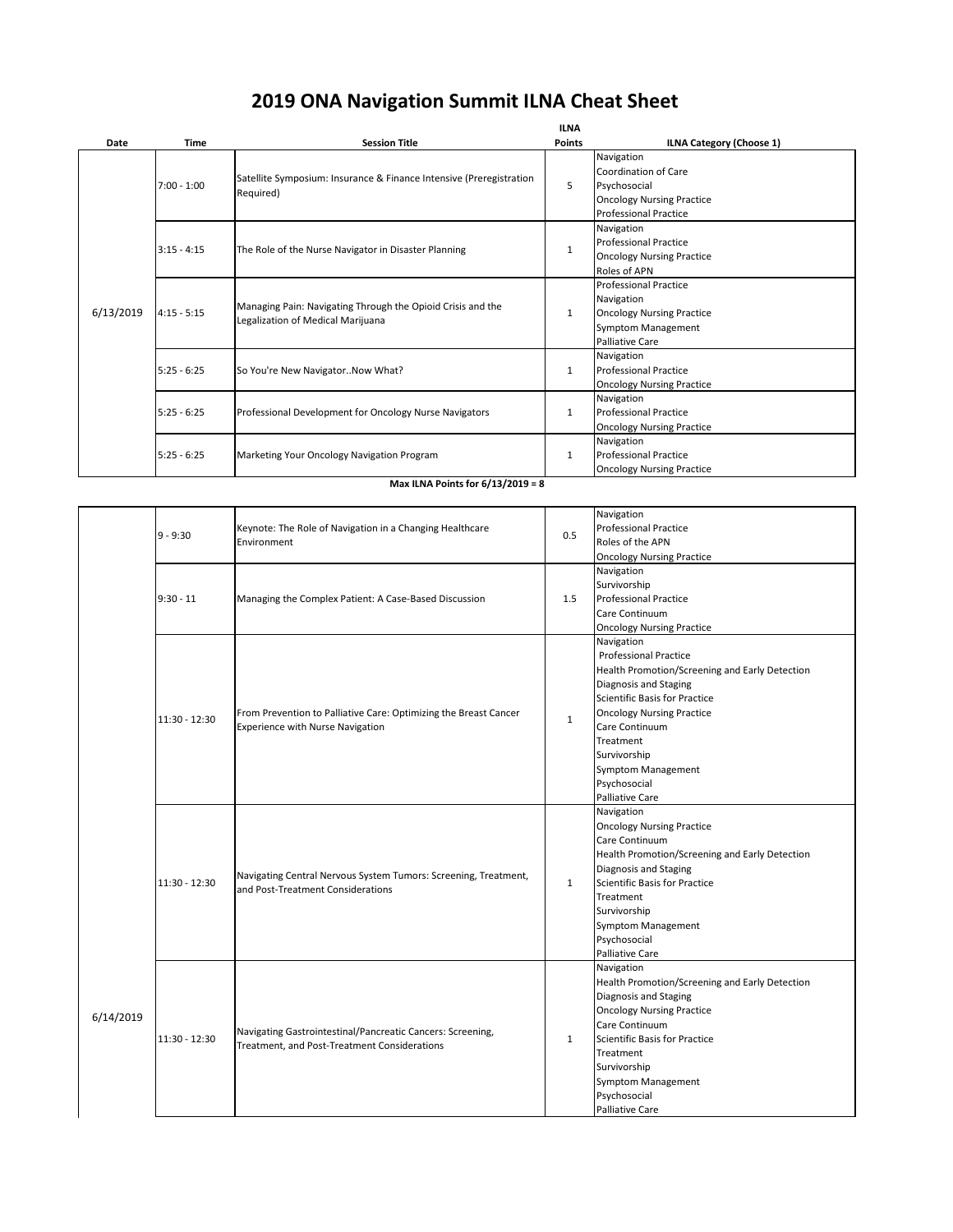| Date      | <b>Time</b>   | <b>Session Title</b>                                                                             | <b>ILNA</b><br><b>Points</b> | <b>ILNA Category (Choose 1)</b>  |
|-----------|---------------|--------------------------------------------------------------------------------------------------|------------------------------|----------------------------------|
|           | $7:00 - 1:00$ | Satellite Symposium: Insurance & Finance Intensive (Preregistration<br>Required)                 | 5                            | Navigation                       |
|           |               |                                                                                                  |                              | <b>Coordination of Care</b>      |
|           |               |                                                                                                  |                              | Psychosocial                     |
|           |               |                                                                                                  |                              | <b>Oncology Nursing Practice</b> |
|           |               |                                                                                                  |                              | <b>Professional Practice</b>     |
|           |               | The Role of the Nurse Navigator in Disaster Planning                                             | $\mathbf{1}$                 | Navigation                       |
|           | $3:15 - 4:15$ |                                                                                                  |                              | <b>Professional Practice</b>     |
| 6/13/2019 |               |                                                                                                  |                              | <b>Oncology Nursing Practice</b> |
|           |               |                                                                                                  |                              | Roles of APN                     |
|           | $4:15 - 5:15$ | Managing Pain: Navigating Through the Opioid Crisis and the<br>Legalization of Medical Marijuana | $\mathbf{1}$                 | <b>Professional Practice</b>     |
|           |               |                                                                                                  |                              | Navigation                       |
|           |               |                                                                                                  |                              | <b>Oncology Nursing Practice</b> |
|           |               |                                                                                                  |                              | <b>Symptom Management</b>        |
|           |               |                                                                                                  |                              | <b>Palliative Care</b>           |
|           | $5:25 - 6:25$ | So You're New NavigatorNow What?                                                                 | 1                            | Navigation                       |
|           |               |                                                                                                  |                              | <b>Professional Practice</b>     |
|           |               |                                                                                                  |                              | <b>Oncology Nursing Practice</b> |
|           | $5:25 - 6:25$ | Professional Development for Oncology Nurse Navigators                                           | $\mathbf{1}$                 | Navigation                       |
|           |               |                                                                                                  |                              | <b>Professional Practice</b>     |
|           |               |                                                                                                  |                              | <b>Oncology Nursing Practice</b> |
|           | $5:25 - 6:25$ | Marketing Your Oncology Navigation Program                                                       | $\mathbf{1}$                 | Navigation                       |
|           |               |                                                                                                  |                              | <b>Professional Practice</b>     |
|           |               |                                                                                                  |                              | <b>Oncology Nursing Practice</b> |

|           |                 |                                                                                                             |              | Navigation                                     |
|-----------|-----------------|-------------------------------------------------------------------------------------------------------------|--------------|------------------------------------------------|
|           | $9 - 9:30$      | Keynote: The Role of Navigation in a Changing Healthcare                                                    |              | <b>Professional Practice</b>                   |
|           |                 | Environment                                                                                                 | 0.5          | Roles of the APN                               |
|           |                 |                                                                                                             |              | <b>Oncology Nursing Practice</b>               |
|           |                 |                                                                                                             |              | Navigation                                     |
|           | $9:30 - 11$     | Managing the Complex Patient: A Case-Based Discussion                                                       |              | Survivorship                                   |
|           |                 |                                                                                                             | 1.5          | <b>Professional Practice</b>                   |
|           |                 |                                                                                                             |              | Care Continuum                                 |
|           |                 |                                                                                                             |              | <b>Oncology Nursing Practice</b>               |
|           |                 | From Prevention to Palliative Care: Optimizing the Breast Cancer<br><b>Experience with Nurse Navigation</b> |              | Navigation                                     |
|           |                 |                                                                                                             |              | <b>Professional Practice</b>                   |
|           |                 |                                                                                                             |              | Health Promotion/Screening and Early Detection |
|           |                 |                                                                                                             |              | Diagnosis and Staging                          |
|           |                 |                                                                                                             |              | Scientific Basis for Practice                  |
|           |                 |                                                                                                             |              | <b>Oncology Nursing Practice</b>               |
|           | $11:30 - 12:30$ |                                                                                                             | $\mathbf{1}$ | Care Continuum                                 |
|           |                 |                                                                                                             |              | Treatment                                      |
|           |                 |                                                                                                             |              | Survivorship                                   |
|           |                 |                                                                                                             |              | <b>Symptom Management</b>                      |
|           |                 |                                                                                                             |              | Psychosocial                                   |
|           |                 |                                                                                                             |              | <b>Palliative Care</b>                         |
|           | $11:30 - 12:30$ | Navigating Central Nervous System Tumors: Screening, Treatment,<br>and Post-Treatment Considerations        |              | Navigation                                     |
|           |                 |                                                                                                             |              | <b>Oncology Nursing Practice</b>               |
|           |                 |                                                                                                             |              | Care Continuum                                 |
|           |                 |                                                                                                             |              | Health Promotion/Screening and Early Detection |
|           |                 |                                                                                                             | $\mathbf{1}$ | Diagnosis and Staging                          |
|           |                 |                                                                                                             |              | Scientific Basis for Practice                  |
|           |                 |                                                                                                             |              | Treatment                                      |
|           |                 |                                                                                                             |              | Survivorship                                   |
|           |                 |                                                                                                             |              | Symptom Management                             |
|           |                 |                                                                                                             |              | Psychosocial                                   |
|           |                 |                                                                                                             |              | <b>Palliative Care</b>                         |
|           | $11:30 - 12:30$ | Navigating Gastrointestinal/Pancreatic Cancers: Screening,<br>Treatment, and Post-Treatment Considerations  |              | Navigation                                     |
|           |                 |                                                                                                             |              | Health Promotion/Screening and Early Detection |
|           |                 |                                                                                                             |              | Diagnosis and Staging                          |
|           |                 |                                                                                                             |              | <b>Oncology Nursing Practice</b>               |
| 6/14/2019 |                 |                                                                                                             |              | Care Continuum                                 |
|           |                 |                                                                                                             | $\mathbf{1}$ | Scientific Basis for Practice                  |
|           |                 |                                                                                                             |              | Treatment                                      |
|           |                 |                                                                                                             |              | Survivorship                                   |
|           |                 |                                                                                                             |              | <b>Symptom Management</b>                      |
|           |                 |                                                                                                             |              | Psychosocial                                   |
|           |                 |                                                                                                             |              | Palliative Care                                |

## **2019 ONA Navigation Summit ILNA Cheat Sheet**

## **Max ILNA Points for 6/13/2019 = 8**